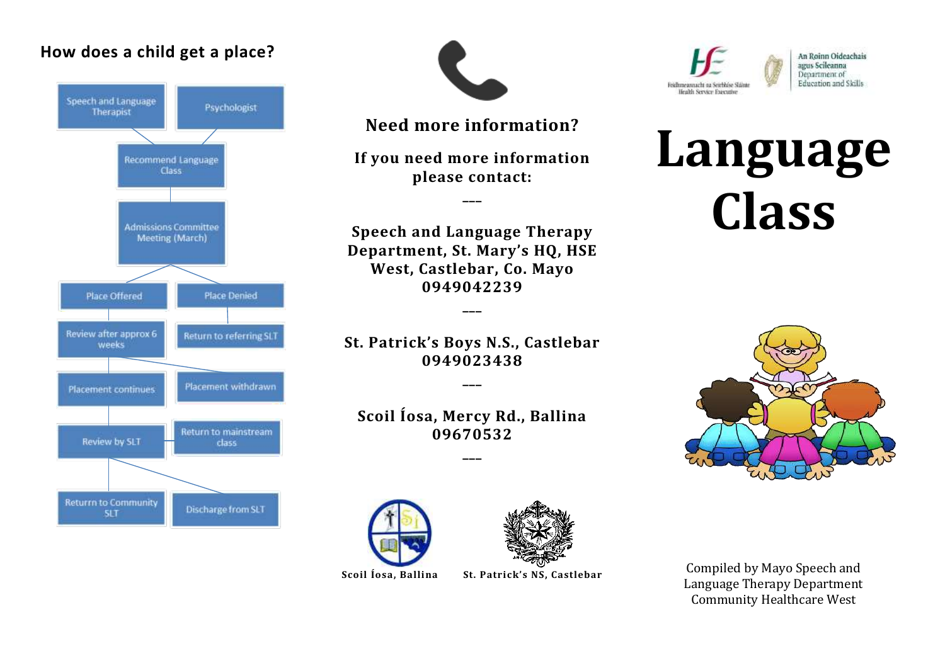#### **How does a child get a place?**





**Need more information?**

**If you need more information please contact:**

**\_\_\_**

**Speech and Language Therapy Department, St. Mary's HQ, HSE West, Castlebar, Co. Mayo 0949042239**

**\_\_\_**

**St. Patrick's Boys N.S., Castlebar 0949023438**

**\_\_\_**

**Scoil Íosa, Mercy Rd., Ballina 09670532**

**\_\_\_**





Scoil Íosa, Ballina

**Scoil Íosa, Ballina St. Patrick's NS, Castlebar**



An Roinn Oideachais agus Scileanna Department of Education and Skills

# **Language Class**



Compiled by Mayo Speech and Language Therapy Department Community Healthcare West